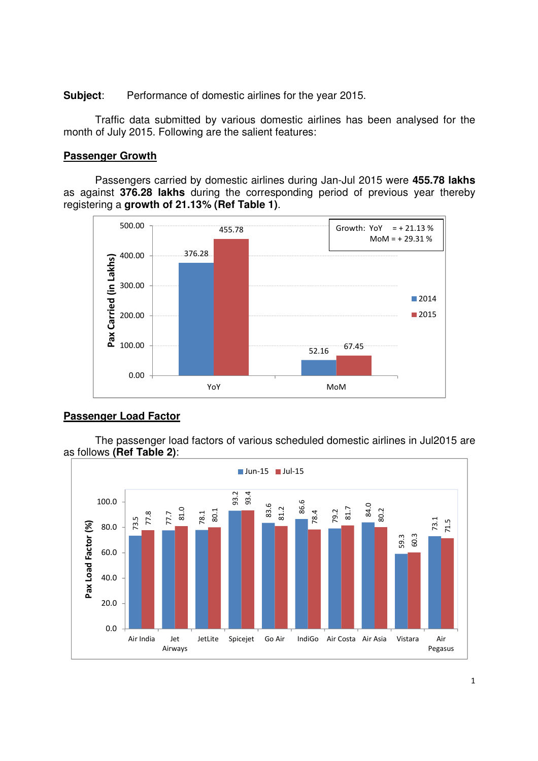**Subject**: Performance of domestic airlines for the year 2015.

 Traffic data submitted by various domestic airlines has been analysed for the month of July 2015. Following are the salient features:

#### **Passenger Growth**

Passengers carried by domestic airlines during Jan-Jul 2015 were **455.78 lakhs**  as against **376.28 lakhs** during the corresponding period of previous year thereby registering a **growth of 21.13% (Ref Table 1)**.



## **Passenger Load Factor**

The passenger load factors of various scheduled domestic airlines in Jul2015 are as follows **(Ref Table 2)**:

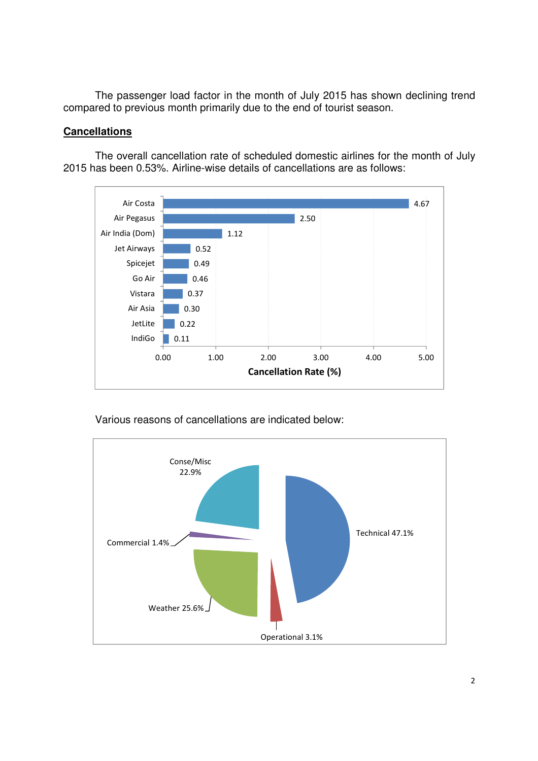The passenger load factor in the month of July 2015 has shown declining trend compared to previous month primarily due to the end of tourist season.

## **Cancellations**

The overall cancellation rate of scheduled domestic airlines for the month of July 2015 has been 0.53%. Airline-wise details of cancellations are as follows:





Various reasons of cancellations are indicated below: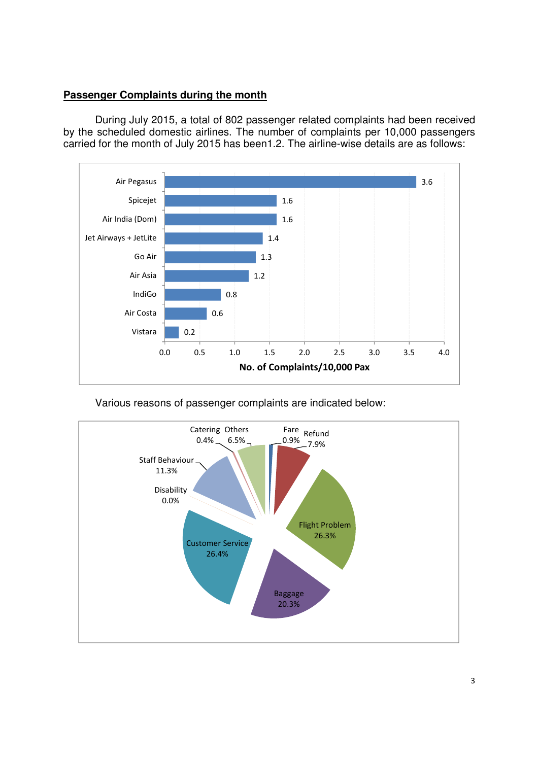## **Passenger Complaints during the month**

During July 2015, a total of 802 passenger related complaints had been received by the scheduled domestic airlines. The number of complaints per 10,000 passengers carried for the month of July 2015 has been1.2. The airline-wise details are as follows:



Various reasons of passenger complaints are indicated below:

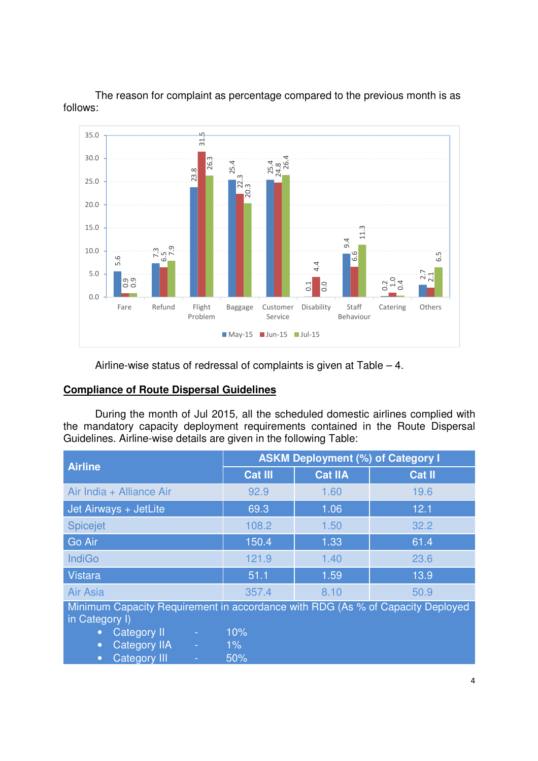

The reason for complaint as percentage compared to the previous month is as follows:

Airline-wise status of redressal of complaints is given at Table – 4.

#### **Compliance of Route Dispersal Guidelines**

 During the month of Jul 2015, all the scheduled domestic airlines complied with the mandatory capacity deployment requirements contained in the Route Dispersal Guidelines. Airline-wise details are given in the following Table:

| <b>Airline</b>                                                                                                                            | <b>ASKM Deployment (%) of Category I</b> |                |               |  |  |  |  |  |  |
|-------------------------------------------------------------------------------------------------------------------------------------------|------------------------------------------|----------------|---------------|--|--|--|--|--|--|
|                                                                                                                                           | <b>Cat III</b>                           | <b>Cat IIA</b> | <b>Cat II</b> |  |  |  |  |  |  |
| Air India + Alliance Air                                                                                                                  | 92.9                                     | 1.60           | 19.6          |  |  |  |  |  |  |
| Jet Airways + JetLite                                                                                                                     | 69.3                                     | 1.06           | 12.1          |  |  |  |  |  |  |
| <b>Spicejet</b>                                                                                                                           | 108.2                                    | 1.50           | 32.2          |  |  |  |  |  |  |
| Go Air                                                                                                                                    | 150.4                                    | 1.33           | 61.4          |  |  |  |  |  |  |
| <b>IndiGo</b>                                                                                                                             | 121.9                                    | 1.40           | 23.6          |  |  |  |  |  |  |
| <b>Vistara</b>                                                                                                                            | 51.1                                     | 1.59           | 13.9          |  |  |  |  |  |  |
| <b>Air Asia</b>                                                                                                                           | 357.4                                    | 8.10           | 50.9          |  |  |  |  |  |  |
| Minimum Capacity Requirement in accordance with RDG (As % of Capacity Deployed<br>in Category I)<br>10%<br>Category II<br>÷.<br>$\bullet$ |                                          |                |               |  |  |  |  |  |  |

• Category IIA - 1%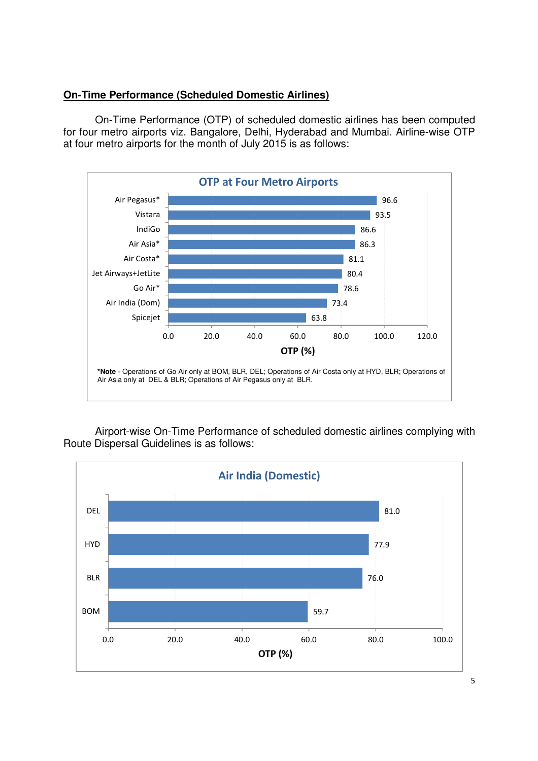### **On-Time Performance (Scheduled Domestic Airlines)**

On-Time Performance (OTP) of scheduled domestic airlines has been computed for four metro airports viz. Bangalore, Delhi, Hyderabad and Mumbai. Airline-wise OTP at four metro airports for the month of July 2015 is as follows:



Airport-wise On-Time Performance of scheduled domestic airlines complying with Route Dispersal Guidelines is as follows:

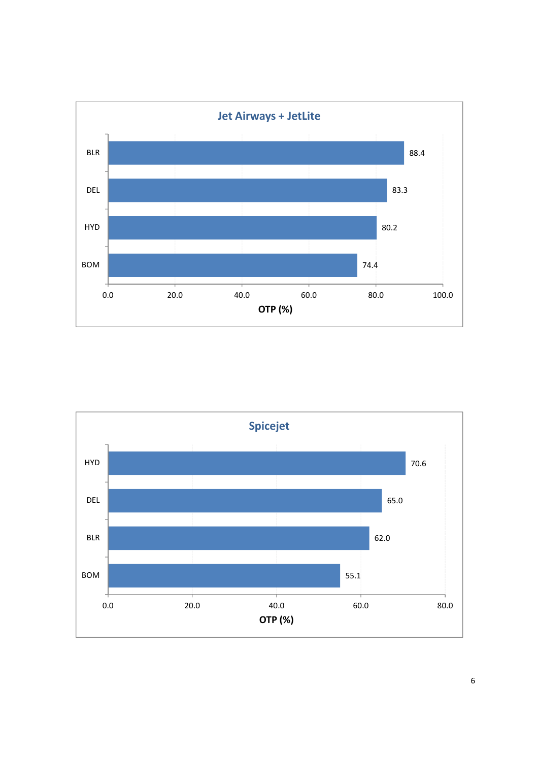

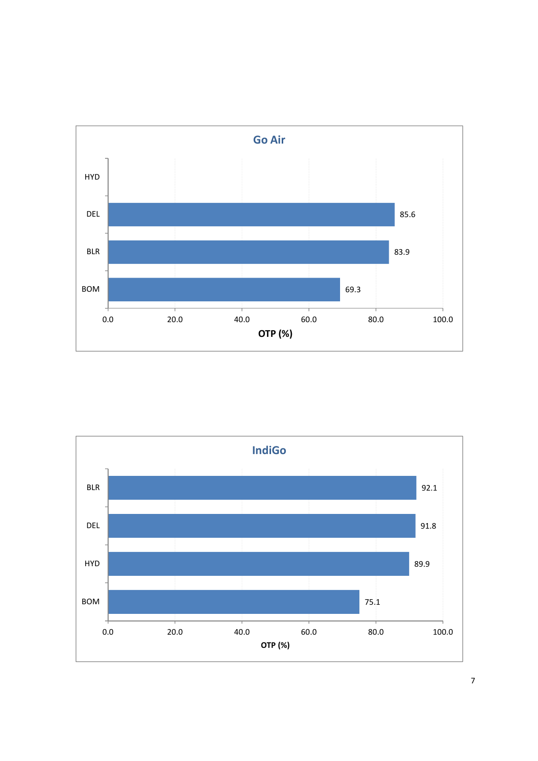

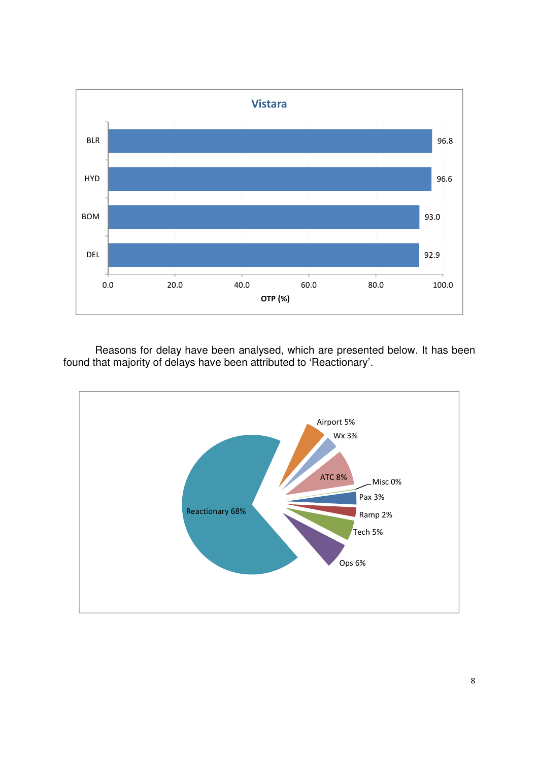

Reasons for delay have been analysed, which are presented below. It has been found that majority of delays have been attributed to 'Reactionary'.

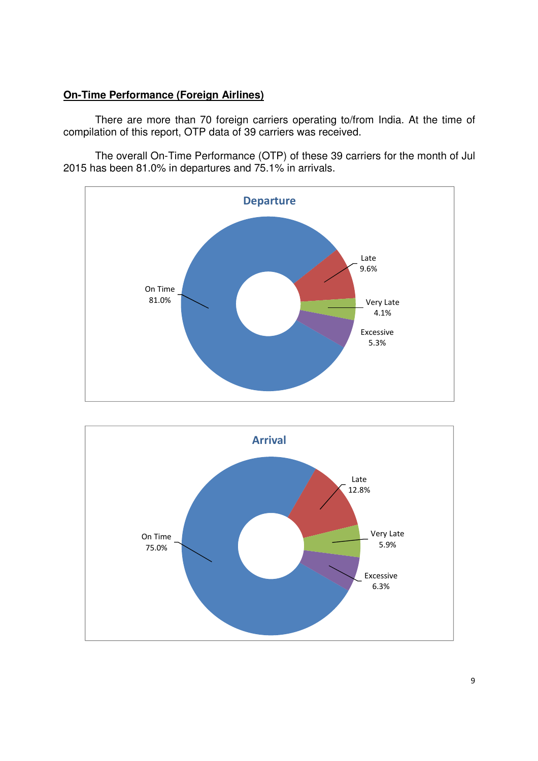## **On-Time Performance (Foreign Airlines)**

 There are more than 70 foreign carriers operating to/from India. At the time of compilation of this report, OTP data of 39 carriers was received.

The overall On-Time Performance (OTP) of these 39 carriers for the month of Jul 2015 has been 81.0% in departures and 75.1% in arrivals.



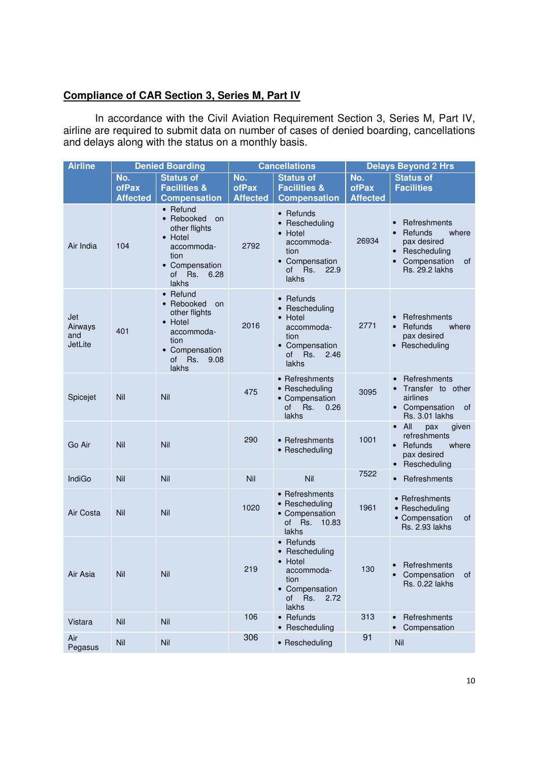## **Compliance of CAR Section 3, Series M, Part IV**

In accordance with the Civil Aviation Requirement Section 3, Series M, Part IV, airline are required to submit data on number of cases of denied boarding, cancellations and delays along with the status on a monthly basis.

| <b>Airline</b>                   | <b>Denied Boarding</b>          |                                                                                                                                        |                                 | <b>Cancellations</b>                                                                                             | <b>Delays Beyond 2 Hrs</b>      |                                                                                                                  |  |  |
|----------------------------------|---------------------------------|----------------------------------------------------------------------------------------------------------------------------------------|---------------------------------|------------------------------------------------------------------------------------------------------------------|---------------------------------|------------------------------------------------------------------------------------------------------------------|--|--|
|                                  | No.<br>ofPax<br><b>Affected</b> | <b>Status of</b><br><b>Facilities &amp;</b><br><b>Compensation</b>                                                                     | No.<br>ofPax<br><b>Affected</b> | <b>Status of</b><br><b>Facilities &amp;</b><br><b>Compensation</b>                                               | No.<br>ofPax<br><b>Affected</b> | <b>Status of</b><br><b>Facilities</b>                                                                            |  |  |
| Air India                        | 104                             | $\bullet$ Refund<br>• Rebooked<br>on<br>other flights<br>• Hotel<br>accommoda-<br>tion<br>• Compensation<br>of<br>Rs.<br>6.28<br>lakhs | 2792                            | • Refunds<br>• Rescheduling<br>• Hotel<br>accommoda-<br>tion<br>• Compensation<br>οf<br>Rs.<br>22.9<br>lakhs     | 26934                           | Refreshments<br>Refunds<br>where<br>pax desired<br>• Rescheduling<br>Compensation<br>0f<br><b>Rs. 29.2 lakhs</b> |  |  |
| Jet<br>Airways<br>and<br>JetLite | 401                             | • Refund<br>• Rebooked<br>on<br>other flights<br>• Hotel<br>accommoda-<br>tion<br>• Compensation<br>of<br>Rs.<br>9.08<br>lakhs         | 2016                            | $\bullet$ Refunds<br>Rescheduling<br>Hotel<br>accommoda-<br>tion<br>• Compensation<br>of<br>Rs.<br>2.46<br>lakhs | 2771                            | Refreshments<br>Refunds<br>where<br>$\bullet$<br>pax desired<br>• Rescheduling                                   |  |  |
| Spicejet                         | Nil                             | Nil                                                                                                                                    | 475                             | • Refreshments<br>• Rescheduling<br>• Compensation<br>of<br>Rs.<br>0.26<br>lakhs                                 | 3095                            | Refreshments<br>Transfer to other<br>airlines<br>• Compensation<br>0f<br><b>Rs. 3.01 lakhs</b>                   |  |  |
| Go Air                           | Nil                             | Nil                                                                                                                                    | 290                             | • Refreshments<br>• Rescheduling                                                                                 | 1001                            | $\bullet$ All<br>pax<br>given<br>refreshments<br>$\bullet$ Refunds<br>where<br>pax desired<br>Rescheduling       |  |  |
| <b>IndiGo</b>                    | Nil                             | Nil                                                                                                                                    | Nil                             | Nil                                                                                                              | 7522                            | Refreshments<br>$\bullet$                                                                                        |  |  |
| Air Costa                        | Nil                             | Nil                                                                                                                                    | 1020                            | • Refreshments<br>• Rescheduling<br>• Compensation<br>of Rs. 10.83<br>lakhs                                      | 1961                            | • Refreshments<br>• Rescheduling<br>• Compensation<br>οf<br>Rs. 2.93 lakhs                                       |  |  |
| Air Asia                         | Nil                             | Nil                                                                                                                                    | 219                             | • Refunds<br>• Rescheduling<br>• Hotel<br>accommoda-<br>tion<br>• Compensation<br>2.72<br>of<br>Rs.<br>lakhs     | 130                             | • Refreshments<br>Compensation<br>0f<br>Rs. 0.22 lakhs                                                           |  |  |
| Vistara                          | Nil                             | Nil                                                                                                                                    | 106                             | • Refunds<br>• Rescheduling                                                                                      | 313                             | Refreshments<br>Compensation                                                                                     |  |  |
| Air<br>Pegasus                   | Nil                             | Nil                                                                                                                                    | 306                             | • Rescheduling                                                                                                   | 91                              | Nil                                                                                                              |  |  |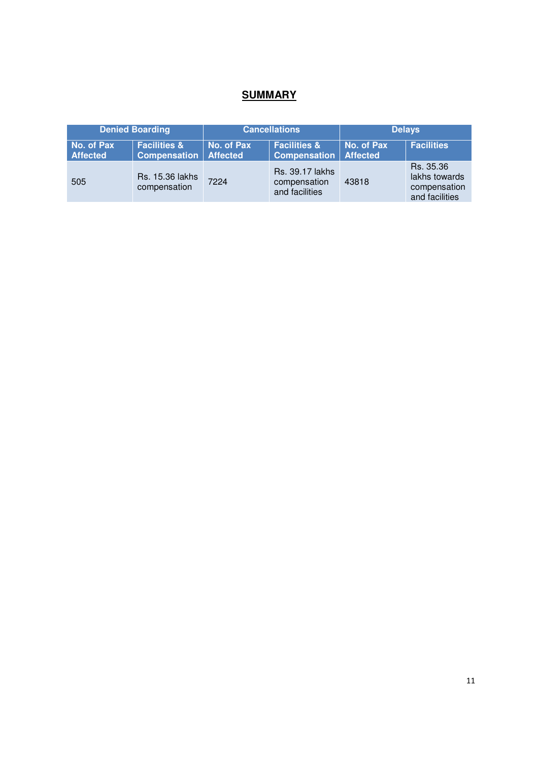## **SUMMARY**

|                               | <b>Denied Boarding</b>                         |                               | <b>Cancellations</b>                                     | <b>Delays</b>                 |                                                              |  |  |
|-------------------------------|------------------------------------------------|-------------------------------|----------------------------------------------------------|-------------------------------|--------------------------------------------------------------|--|--|
| No. of Pax<br><b>Affected</b> | <b>Facilities &amp;</b><br><b>Compensation</b> | No. of Pax<br><b>Affected</b> | <b>Facilities &amp;</b><br><b>Compensation</b>           | No. of Pax<br><b>Affected</b> | <b>Facilities</b>                                            |  |  |
| 505                           | <b>Rs. 15.36 lakhs</b><br>compensation         | 7224                          | <b>Rs.</b> 39.17 lakhs<br>compensation<br>and facilities | 43818                         | Rs. 35.36<br>lakhs towards<br>compensation<br>and facilities |  |  |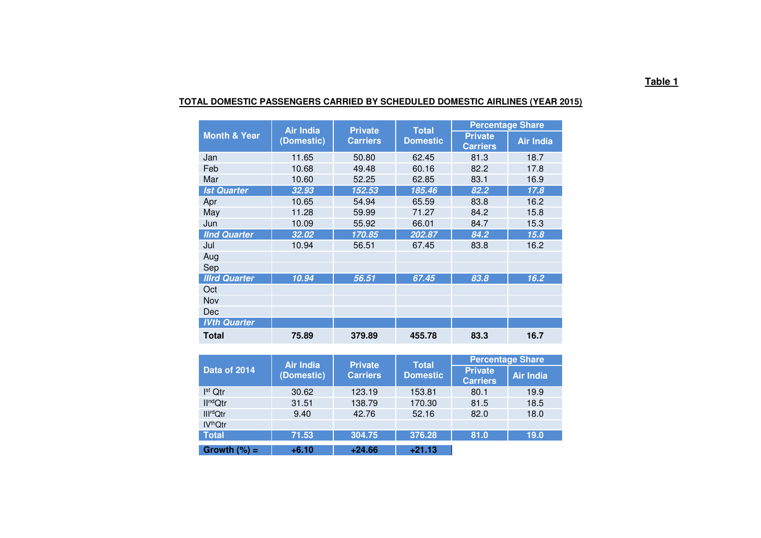|                         | <b>Air India</b> | <b>Private</b>  | <b>Total</b>    | <b>Percentage Share</b>           |                  |  |  |  |
|-------------------------|------------------|-----------------|-----------------|-----------------------------------|------------------|--|--|--|
| <b>Month &amp; Year</b> | (Domestic)       | <b>Carriers</b> | <b>Domestic</b> | <b>Private</b><br><b>Carriers</b> | <b>Air India</b> |  |  |  |
| Jan                     | 11.65            | 50.80           | 62.45           | 81.3                              | 18.7             |  |  |  |
| Feb                     | 10.68            | 49.48           | 60.16           | 82.2                              | 17.8             |  |  |  |
| Mar                     | 10.60            | 52.25           | 62.85           | 83.1                              | 16.9             |  |  |  |
| <b>Ist Quarter</b>      | 32.93            | 152.53          | 185.46          | 82.2                              | 17.8             |  |  |  |
| Apr                     | 10.65            | 54.94           | 65.59           | 83.8                              | 16.2             |  |  |  |
| May                     | 11.28            | 59.99           | 71.27           | 84.2                              | 15.8             |  |  |  |
| Jun                     | 10.09            | 55.92           | 66.01           | 84.7                              | 15.3             |  |  |  |
| <b>IInd Quarter</b>     | 32.02            | 170.85          | 202.87          | 84.2                              | 15.8             |  |  |  |
| Jul                     | 10.94            | 56.51           | 67.45           | 83.8                              | 16.2             |  |  |  |
| Aug                     |                  |                 |                 |                                   |                  |  |  |  |
| Sep                     |                  |                 |                 |                                   |                  |  |  |  |
| <b>Illrd Quarter</b>    | 10.94            | 56.51           | 67.45           | 83.8                              | 16.2             |  |  |  |
| Oct                     |                  |                 |                 |                                   |                  |  |  |  |
| Nov                     |                  |                 |                 |                                   |                  |  |  |  |
| Dec                     |                  |                 |                 |                                   |                  |  |  |  |
| <b>IVth Quarter</b>     |                  |                 |                 |                                   |                  |  |  |  |
| Total                   | 75.89            | 379.89          | 455.78          | 83.3                              | 16.7             |  |  |  |

#### **TOTAL DOMESTIC PASSENGERS CARRIED BY SCHEDULED DOMESTIC AIRLINES (YEAR 2015)**

|                            | <b>Air India</b> | <b>Private</b>  | <b>Total</b>    | <b>Percentage Share</b>           |                  |  |  |  |
|----------------------------|------------------|-----------------|-----------------|-----------------------------------|------------------|--|--|--|
| Data of 2014               | (Domestic)       | <b>Carriers</b> | <b>Domestic</b> | <b>Private</b><br><b>Carriers</b> | <b>Air India</b> |  |  |  |
| I <sup>st</sup> Qtr        | 30.62            | 123.19          | 153.81          | 80.1                              | 19.9             |  |  |  |
| II <sup>nd</sup> Qtr       | 31.51            | 138.79          | 170.30          | 81.5                              | 18.5             |  |  |  |
| <b>Ill<sup>rd</sup>Qtr</b> | 9.40             | 42.76           | 52.16           | 82.0                              | 18.0             |  |  |  |
| <b>IV<sup>th</sup>Qtr</b>  |                  |                 |                 |                                   |                  |  |  |  |
| <b>Total</b>               | 71.53            | 304.75          | 376.28          | 81.0                              | 19.0             |  |  |  |
| Growth $(\%) =$            | $+6.10$          | $+24.66$        | $+21.13$        |                                   |                  |  |  |  |

#### **Table 1**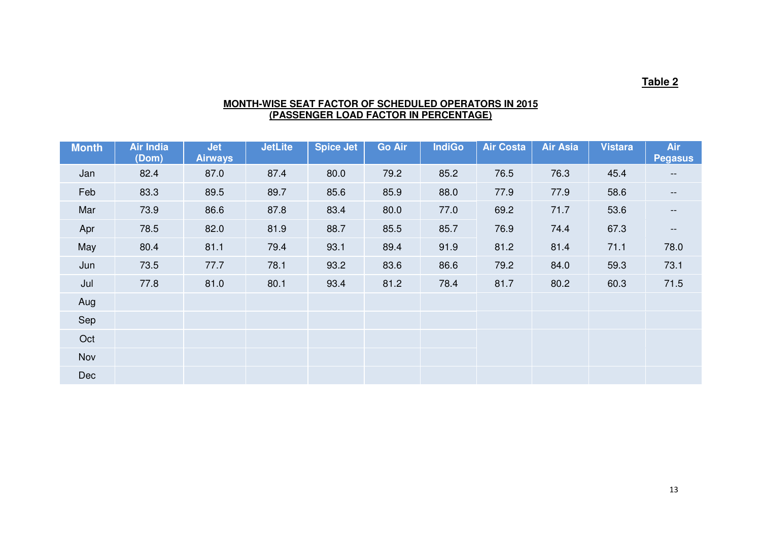## **Table 2**

# **MONTH-WISE SEAT FACTOR OF SCHEDULED OPERATORS IN 2015 (PASSENGER LOAD FACTOR IN PERCENTAGE)**

| <b>Month</b> | <b>Air India</b><br>(Dom) | <b>Jet</b><br><b>Airways</b> | <b>JetLite</b> | <b>Spice Jet</b> | <b>Go Air</b> | <b>IndiGo</b> | <b>Air Costa</b> | <b>Air Asia</b> | <b>Vistara</b> | Air<br><b>Pegasus</b>    |
|--------------|---------------------------|------------------------------|----------------|------------------|---------------|---------------|------------------|-----------------|----------------|--------------------------|
| Jan          | 82.4                      | 87.0                         | 87.4           | 80.0             | 79.2          | 85.2          | 76.5             | 76.3            | 45.4           | $\qquad \qquad -$        |
| Feb          | 83.3                      | 89.5                         | 89.7           | 85.6             | 85.9          | 88.0          | 77.9             | 77.9            | 58.6           | $\overline{\phantom{m}}$ |
| Mar          | 73.9                      | 86.6                         | 87.8           | 83.4             | 80.0          | 77.0          | 69.2             | 71.7            | 53.6           | $- -$                    |
| Apr          | 78.5                      | 82.0                         | 81.9           | 88.7             | 85.5          | 85.7          | 76.9             | 74.4            | 67.3           | $\overline{\phantom{m}}$ |
| May          | 80.4                      | 81.1                         | 79.4           | 93.1             | 89.4          | 91.9          | 81.2             | 81.4            | 71.1           | 78.0                     |
| Jun          | 73.5                      | 77.7                         | 78.1           | 93.2             | 83.6          | 86.6          | 79.2             | 84.0            | 59.3           | 73.1                     |
| Jul          | 77.8                      | 81.0                         | 80.1           | 93.4             | 81.2          | 78.4          | 81.7             | 80.2            | 60.3           | 71.5                     |
| Aug          |                           |                              |                |                  |               |               |                  |                 |                |                          |
| Sep          |                           |                              |                |                  |               |               |                  |                 |                |                          |
| Oct          |                           |                              |                |                  |               |               |                  |                 |                |                          |
| <b>Nov</b>   |                           |                              |                |                  |               |               |                  |                 |                |                          |
| Dec          |                           |                              |                |                  |               |               |                  |                 |                |                          |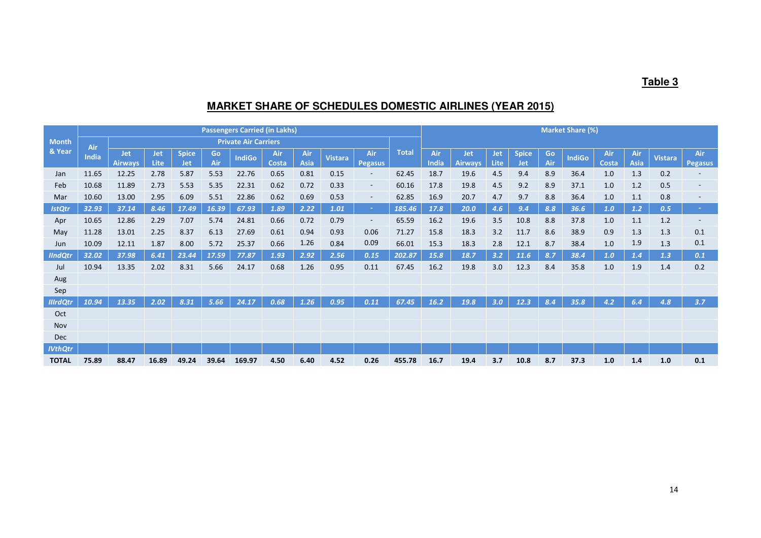## **Table 3**

## **MARKET SHARE OF SCHEDULES DOMESTIC AIRLINES (YEAR 2015)**

|                 |              | <b>Passengers Carried (in Lakhs)</b> |                           |                            |           |                             |              |             |                | <b>Market Share (%)</b>  |              |              |                              |                    |                     |           |               |              |                    |                |                       |
|-----------------|--------------|--------------------------------------|---------------------------|----------------------------|-----------|-----------------------------|--------------|-------------|----------------|--------------------------|--------------|--------------|------------------------------|--------------------|---------------------|-----------|---------------|--------------|--------------------|----------------|-----------------------|
| <b>Month</b>    | Air          |                                      |                           |                            |           | <b>Private Air Carriers</b> |              |             |                |                          |              |              |                              |                    |                     |           |               |              |                    |                |                       |
| & Year          | <b>India</b> | <b>Jet</b><br><b>Airways</b>         | <b>Jet</b><br><b>Lite</b> | <b>Spice</b><br><b>Jet</b> | Go<br>Air | <b>IndiGo</b>               | Air<br>Costa | Air<br>Asia | <b>Vistara</b> | Air<br><b>Pegasus</b>    | <b>Total</b> | Air<br>India | <b>Jet</b><br><b>Airways</b> | <b>Jet</b><br>Lite | <b>Spice</b><br>Jet | Go<br>Air | <b>IndiGo</b> | Air<br>Costa | Air<br><b>Asia</b> | <b>Vistara</b> | Air<br><b>Pegasus</b> |
| Jan             | 11.65        | 12.25                                | 2.78                      | 5.87                       | 5.53      | 22.76                       | 0.65         | 0.81        | 0.15           | $\overline{\phantom{a}}$ | 62.45        | 18.7         | 19.6                         | 4.5                | 9.4                 | 8.9       | 36.4          | 1.0          | 1.3                | 0.2            |                       |
| Feb             | 10.68        | 11.89                                | 2.73                      | 5.53                       | 5.35      | 22.31                       | 0.62         | 0.72        | 0.33           | $\sim$                   | 60.16        | 17.8         | 19.8                         | 4.5                | 9.2                 | 8.9       | 37.1          | 1.0          | 1.2                | 0.5            |                       |
| Mar             | 10.60        | 13.00                                | 2.95                      | 6.09                       | 5.51      | 22.86                       | 0.62         | 0.69        | 0.53           | $\overline{\phantom{a}}$ | 62.85        | 16.9         | 20.7                         | 4.7                | 9.7                 | 8.8       | 36.4          | 1.0          | 1.1                | 0.8            |                       |
| <b>IstQtr</b>   | 32.93        | 37.14                                | 8.46                      | 17.49                      | 16.39     | 67.93                       | 1.89         | 2.22        | 1.01           | cent.                    | 185.46       | 17.8         | 20.0                         | 4.6                | 9.4                 | 8.8       | 36.6          | 1.0          | 1.2                | 0.5            |                       |
| Apr             | 10.65        | 12.86                                | 2.29                      | 7.07                       | 5.74      | 24.81                       | 0.66         | 0.72        | 0.79           | $\sim$                   | 65.59        | 16.2         | 19.6                         | 3.5                | 10.8                | 8.8       | 37.8          | 1.0          | 1.1                | 1.2            |                       |
| May             | 11.28        | 13.01                                | 2.25                      | 8.37                       | 6.13      | 27.69                       | 0.61         | 0.94        | 0.93           | 0.06                     | 71.27        | 15.8         | 18.3                         | 3.2                | 11.7                | 8.6       | 38.9          | 0.9          | 1.3                | 1.3            | 0.1                   |
| Jun             | 10.09        | 12.11                                | 1.87                      | 8.00                       | 5.72      | 25.37                       | 0.66         | 1.26        | 0.84           | 0.09                     | 66.01        | 15.3         | 18.3                         | 2.8                | 12.1                | 8.7       | 38.4          | 1.0          | 1.9                | 1.3            | 0.1                   |
| <b>IIndQti</b>  | 32.02        | 37.98                                | 6.41                      | 23.44                      | 17.59     | 77.87                       | 1.93         | 2.92        | 2.56           | 0.15                     | 202.87       | 15.8         | 18.7                         | 3.2                | 11.6                | 8.7       | 38.4          | 1.0          | 1.4                | 1.3            | 0.1                   |
| Jul             | 10.94        | 13.35                                | 2.02                      | 8.31                       | 5.66      | 24.17                       | 0.68         | 1.26        | 0.95           | 0.11                     | 67.45        | 16.2         | 19.8                         | 3.0                | 12.3                | 8.4       | 35.8          | 1.0          | 1.9                | 1.4            | 0.2                   |
| Aug             |              |                                      |                           |                            |           |                             |              |             |                |                          |              |              |                              |                    |                     |           |               |              |                    |                |                       |
| Sep             |              |                                      |                           |                            |           |                             |              |             |                |                          |              |              |                              |                    |                     |           |               |              |                    |                |                       |
| <b>IllrdQti</b> | 10.94        | 13.35                                | 2.02                      | 8.31                       | 5.66      | 24.17                       | 0.68         | 1.26        | 0.95           | 0.11                     | 67.45        | 16.2         | 19.8                         | 3.0                | 12.3                | 8.4       | 35.8          | 4.2          | 6.4                | 4.8            | 3.7                   |
| Oct             |              |                                      |                           |                            |           |                             |              |             |                |                          |              |              |                              |                    |                     |           |               |              |                    |                |                       |
| Nov             |              |                                      |                           |                            |           |                             |              |             |                |                          |              |              |                              |                    |                     |           |               |              |                    |                |                       |
| Dec             |              |                                      |                           |                            |           |                             |              |             |                |                          |              |              |                              |                    |                     |           |               |              |                    |                |                       |
| <b>IVthQtr</b>  |              |                                      |                           |                            |           |                             |              |             |                |                          |              |              |                              |                    |                     |           |               |              |                    |                |                       |
| <b>TOTAL</b>    | 75.89        | 88.47                                | 16.89                     | 49.24                      | 39.64     | 169.97                      | 4.50         | 6.40        | 4.52           | 0.26                     | 455.78       | 16.7         | 19.4                         | 3.7                | 10.8                | 8.7       | 37.3          | 1.0          | 1.4                | 1.0            | 0.1                   |